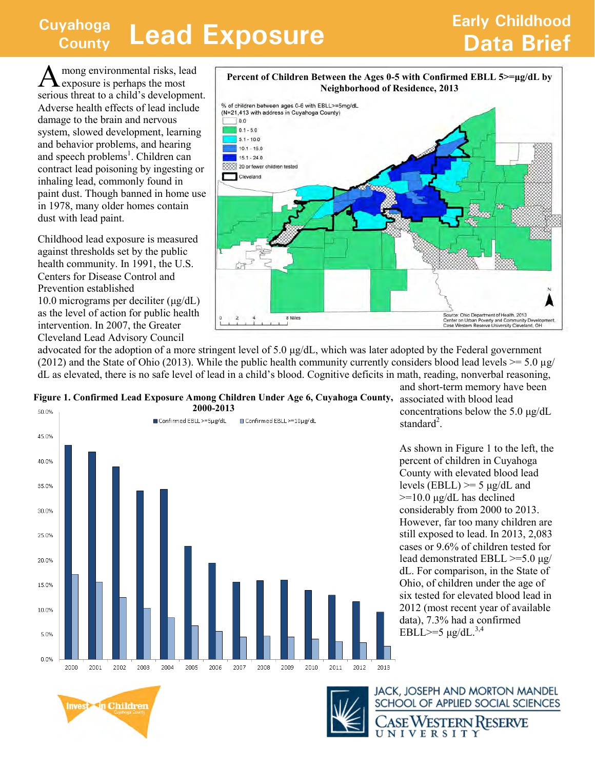## **Cuyahoga County Lead Exposure <b>County Data Brief County**

## **Early Childhood**

A mong environmental risks, lead exposure is perhaps the most serious threat to a child's development. Adverse health effects of lead include damage to the brain and nervous system, slowed development, learning and behavior problems, and hearing and speech problems<sup>1</sup>. Children can contract lead poisoning by ingesting or inhaling lead, commonly found in paint dust. Though banned in home use in 1978, many older homes contain dust with lead paint.

Childhood lead exposure is measured against thresholds set by the public health community. In 1991, the U.S. Centers for Disease Control and Prevention established 10.0 micrograms per deciliter (μg/dL) as the level of action for public health intervention. In 2007, the Greater Cleveland Lead Advisory Council



advocated for the adoption of a more stringent level of 5.0  $\mu$ g/dL, which was later adopted by the Federal government (2012) and the State of Ohio (2013). While the public health community currently considers blood lead levels  $\ge$  = 5.0 µg/ dL as elevated, there is no safe level of lead in a child's blood. Cognitive deficits in math, reading, nonverbal reasoning,





and short-term memory have been concentrations below the 5.0 μg/dL standard<sup>2</sup>.

As shown in Figure 1 to the left, the percent of children in Cuyahoga County with elevated blood lead levels (EBLL)  $>= 5 \mu g/dL$  and  $>=10.0 \text{ µg/dL}$  has declined considerably from 2000 to 2013. However, far too many children are still exposed to lead. In 2013, 2,083 cases or 9.6% of children tested for lead demonstrated EBLL >=5.0 μg/ dL. For comparison, in the State of Ohio, of children under the age of six tested for elevated blood lead in 2012 (most recent year of available data), 7.3% had a confirmed EBLL>=5  $\mu$ g/dL.<sup>3,4</sup>





**JACK, JOSEPH AND MORTON MANDEL** SCHOOL OF APPLIED SOCIAL SCIENCES

SE WESTERN RESERVE NIVERSITY